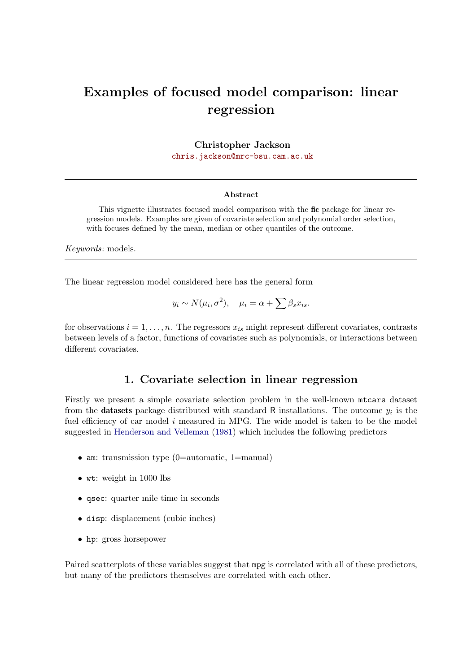# Examples of focused model comparison: linear regression

Christopher Jackson

[chris.jackson@mrc-bsu.cam.ac.uk](mailto:chris.jackson@mrc-bsu.cam.ac.uk)

#### Abstract

This vignette illustrates focused model comparison with the fic package for linear regression models. Examples are given of covariate selection and polynomial order selection, with focuses defined by the mean, median or other quantiles of the outcome.

Keywords: models.

The linear regression model considered here has the general form

$$
y_i \sim N(\mu_i, \sigma^2), \quad \mu_i = \alpha + \sum \beta_s x_{is}.
$$

for observations  $i = 1, \ldots, n$ . The regressors  $x_{is}$  might represent different covariates, contrasts between levels of a factor, functions of covariates such as polynomials, or interactions between different covariates.

#### 1. Covariate selection in linear regression

Firstly we present a simple covariate selection problem in the well-known mtcars dataset from the **datasets** package distributed with standard R installations. The outcome  $y_i$  is the fuel efficiency of car model  $i$  measured in MPG. The wide model is taken to be the model suggested in [Henderson and Velleman](#page-10-0) [\(1981\)](#page-10-0) which includes the following predictors

- am: transmission type (0=automatic, 1=manual)
- wt: weight in 1000 lbs
- qsec: quarter mile time in seconds
- disp: displacement (cubic inches)
- hp: gross horsepower

Paired scatterplots of these variables suggest that mpg is correlated with all of these predictors, but many of the predictors themselves are correlated with each other.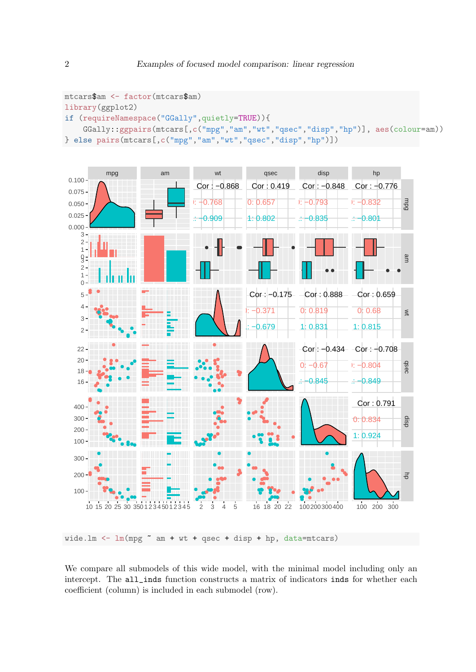```
mtcars$am <- factor(mtcars$am)
library(ggplot2)
if (requireNamespace("GGally",quietly=TRUE)){
    GGally::ggpairs(mtcars[,c("mpg","am","wt","qsec","disp","hp")], aes(colour=am))
} else pairs(mtcars[,c("mpg","am","wt","qsec","disp","hp")])
```


wide.lm  $\leq$  lm(mpg  $\sim$  am + wt + qsec + disp + hp, data=mtcars)

We compare all submodels of this wide model, with the minimal model including only an intercept. The all\_inds function constructs a matrix of indicators inds for whether each coefficient (column) is included in each submodel (row).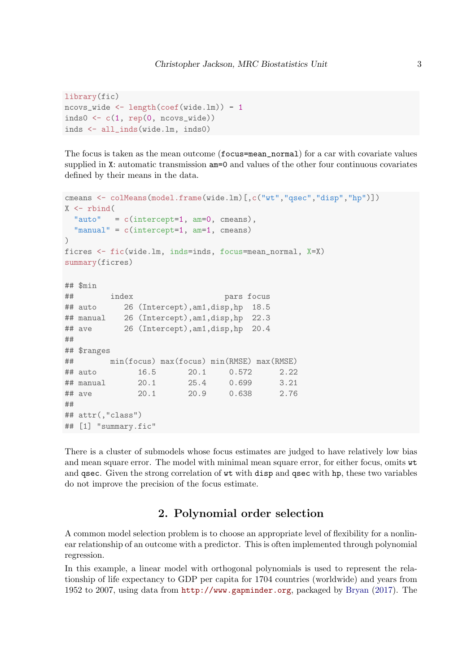```
library(fic)
ncovs_wide <- length(coef(wide.lm)) - 1
inds0\leftarrow c(1, rep(0, ncovs_wide))inds <- all_inds(wide.lm, inds0)
```
The focus is taken as the mean outcome (focus=mean\_normal) for a car with covariate values supplied in X: automatic transmission  $am=0$  and values of the other four continuous covariates defined by their means in the data.

```
cmeans <- colMeans(model.frame(wide.lm)[,c("wt","qsec","disp","hp")])
X <- rbind(
 "auto" = c(intercept=1, am=0, cmeans),
 "manual" = c(intercept=1, am=1, cmeans)
\lambdaficres <- fic(wide.lm, inds=inds, focus=mean_normal, X=X)
summary(ficres)
## $min
## index pars focus
## auto 26 (Intercept),am1,disp,hp 18.5
## manual 26 (Intercept),am1,disp,hp 22.3
## ave 26 (Intercept),am1,disp,hp 20.4
##
## $ranges
## min(focus) max(focus) min(RMSE) max(RMSE)
## auto 16.5 20.1 0.572 2.22
## manual 20.1 25.4 0.699 3.21
## ave 20.1 20.9 0.638 2.76
##
## attr(,"class")
## [1] "summary.fic"
```
There is a cluster of submodels whose focus estimates are judged to have relatively low bias and mean square error. The model with minimal mean square error, for either focus, omits wt and qsec. Given the strong correlation of wt with disp and qsec with hp, these two variables do not improve the precision of the focus estimate.

## 2. Polynomial order selection

A common model selection problem is to choose an appropriate level of flexibility for a nonlinear relationship of an outcome with a predictor. This is often implemented through polynomial regression.

In this example, a linear model with orthogonal polynomials is used to represent the relationship of life expectancy to GDP per capita for 1704 countries (worldwide) and years from 1952 to 2007, using data from <http://www.gapminder.org>, packaged by [Bryan](#page-9-0) [\(2017\)](#page-9-0). The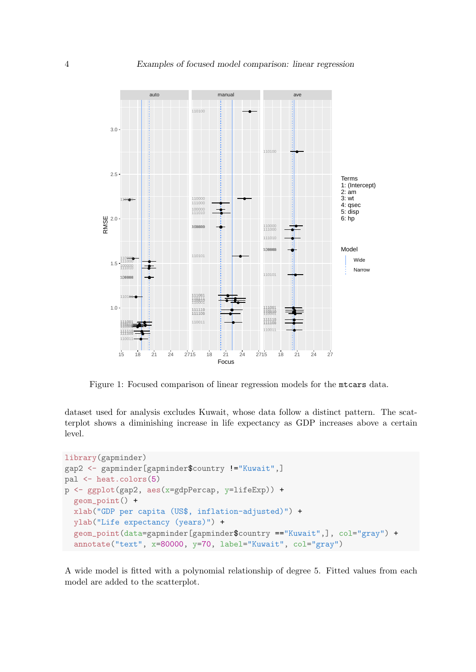

Figure 1: Focused comparison of linear regression models for the mtcars data.

dataset used for analysis excludes Kuwait, whose data follow a distinct pattern. The scatterplot shows a diminishing increase in life expectancy as GDP increases above a certain level.

```
library(gapminder)
gap2 <- gapminder[gapminder$country !="Kuwait",]
pal <- heat.colors(5)
p <- ggplot(gap2, aes(x=gdpPercap, y=lifeExp)) +
  geom_point() +
  xlab("GDP per capita (US$, inflation-adjusted)") +
  ylab("Life expectancy (years)") +
  geom_point(data=gapminder[gapminder$country =="Kuwait",], col="gray") +
  annotate("text", x=80000, y=70, label="Kuwait", col="gray")
```
A wide model is fitted with a polynomial relationship of degree 5. Fitted values from each model are added to the scatterplot.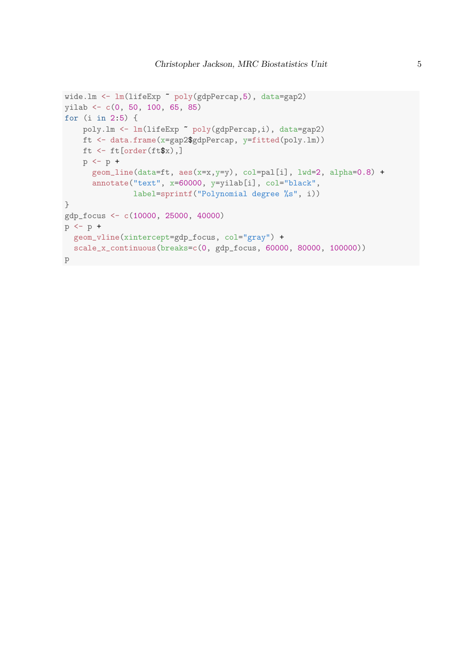```
wide.lm <- lm(lifeExp ~ poly(gdpPercap,5), data=gap2)
yilab <- c(0, 50, 100, 65, 85)
for (i in 2:5) {
    poly.lm <- lm(lifeExp ~ poly(gdpPercap,i), data=gap2)
    ft <- data.frame(x=gap2$gdpPercap, y=fitted(poly.lm))
   ft \leftarrow ft[order(ft$x),]
   p \leftarrow p +geom_line(data=ft, aes(x=x,y=y), col=pal[i], lwd=2, alpha=0.8) +
      annotate("text", x=60000, y=yilab[i], col="black",
               label=sprintf("Polynomial degree %s", i))
}
gdp_focus <- c(10000, 25000, 40000)
p \leftarrow p +geom_vline(xintercept=gdp_focus, col="gray") +
scale_x_continuous(breaks=c(0, gdp_focus, 60000, 80000, 100000))
p
```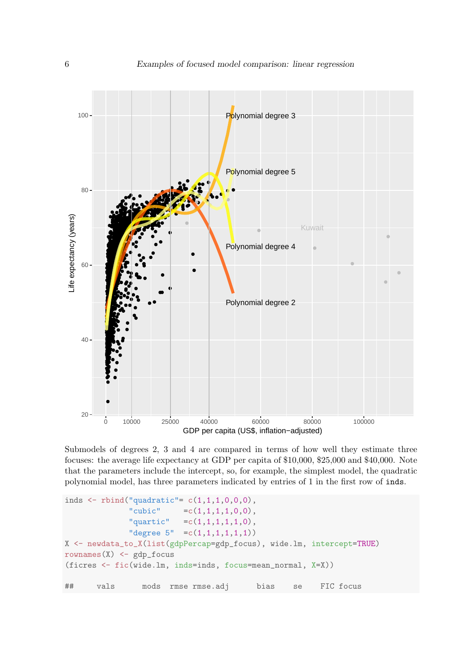

Submodels of degrees 2, 3 and 4 are compared in terms of how well they estimate three focuses: the average life expectancy at GDP per capita of \$10,000, \$25,000 and \$40,000. Note that the parameters include the intercept, so, for example, the simplest model, the quadratic polynomial model, has three parameters indicated by entries of 1 in the first row of inds.

```
inds <- rbind("quadratic"= c(1,1,1,0,0,0),
              "cubic"
                          =c(1,1,1,1,0,0),
                          =c(1,1,1,1,1,0),
              "quartic"
              "degree 5" = c(1,1,1,1,1,1))X <- newdata_to_X(list(gdpPercap=gdp_focus), wide.lm, intercept=TRUE)
rownames (X) <- gdp_focus
(ficres <- fic(wide.lm, inds=inds, focus=mean_normal, X=X))
##mods rmse rmse.adj
       vals
                                          bias
                                                   se
                                                         FIC focus
```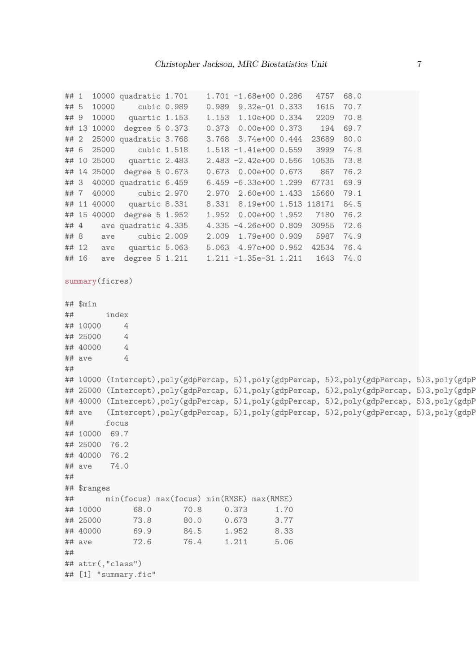```
## 1 10000 quadratic 1.701 1.701 -1.68e+00 0.286 4757 68.0
## 5 10000 cubic 0.989 0.989 9.32e-01 0.333 1615 70.7
## 9 10000 quartic 1.153 1.153 1.10e+00 0.334 2209 70.8
## 13 10000 degree 5 0.373 0.373 0.00e+00 0.373 194 69.7
## 2 25000 quadratic 3.768 3.768 3.74e+00 0.444 23689 80.0
## 6 25000 cubic 1.518 1.518 -1.41e+00 0.559 3999 74.8
## 10 25000 quartic 2.483 2.483 -2.42e+00 0.566 10535 73.8
## 14 25000 degree 5 0.673 0.673 0.00e+00 0.673 867 76.2
## 3 40000 quadratic 6.459 6.459 -6.33e+00 1.299 67731 69.9
## 7 40000 cubic 2.970 2.970 2.60e+00 1.433 15660 79.1
## 11 40000 quartic 8.331 8.331 8.19e+00 1.513 118171 84.5
## 15 40000 degree 5 1.952 1.952 0.00e+00 1.952 7180 76.2
## 4 ave quadratic 4.335 4.335 -4.26e+00 0.809 30955 72.6
## 8 ave cubic 2.009 2.009 1.79e+00 0.909 5987 74.9
## 12 ave quartic 5.063 5.063 4.97e+00 0.952 42534 76.4
## 16 ave degree 5 1.211    1.211 -1.35e-31    1.211    1643    74.0
summary(ficres)
## $min
## index
## 10000 4
## 25000 4
## 40000 4
\## ave 4
\#### 10000 (Intercept),poly(gdpPercap, 5)1,poly(gdpPercap, 5)2,poly(gdpPercap, 5)3,poly(gdpP
## 25000 (Intercept),poly(gdpPercap, 5)1,poly(gdpPercap, 5)2,poly(gdpPercap, 5)3,poly(gdpP
## 40000 (Intercept),poly(gdpPercap, 5)1,poly(gdpPercap, 5)2,poly(gdpPercap, 5)3,poly(gdpP
## ave (Intercept),poly(gdpPercap, 5)1,poly(gdpPercap, 5)2,poly(gdpPercap, 5)3,poly(gdpP
## focus
## 10000 69.7
## 25000 76.2
## 40000 76.2
## ave 74.0
##
## $ranges
## min(focus) max(focus) min(RMSE) max(RMSE)
## 10000 68.0 70.8 0.373 1.70
## 25000 73.8 80.0 0.673 3.77
## 40000 69.9 84.5 1.952 8.33
## ave 72.6 76.4 1.211 5.06
##
## attr(,"class")
## [1] "summary.fic"
```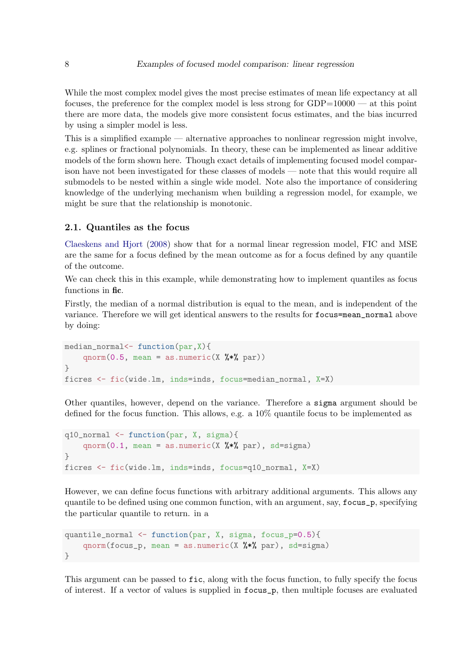While the most complex model gives the most precise estimates of mean life expectancy at all focuses, the preference for the complex model is less strong for GDP=10000 — at this point there are more data, the models give more consistent focus estimates, and the bias incurred by using a simpler model is less.

This is a simplified example — alternative approaches to nonlinear regression might involve, e.g. splines or fractional polynomials. In theory, these can be implemented as linear additive models of the form shown here. Though exact details of implementing focused model comparison have not been investigated for these classes of models — note that this would require all submodels to be nested within a single wide model. Note also the importance of considering knowledge of the underlying mechanism when building a regression model, for example, we might be sure that the relationship is monotonic.

#### 2.1. Quantiles as the focus

[Claeskens and Hjort](#page-9-1) [\(2008\)](#page-9-1) show that for a normal linear regression model, FIC and MSE are the same for a focus defined by the mean outcome as for a focus defined by any quantile of the outcome.

We can check this in this example, while demonstrating how to implement quantiles as focus functions in fic.

Firstly, the median of a normal distribution is equal to the mean, and is independent of the variance. Therefore we will get identical answers to the results for focus=mean\_normal above by doing:

```
median_normal<- function(par,X){
     qnorm(0.5, \text{mean} = \text{as.numeric}(X \text{ %} \text{ % } \text{par}))}
ficres <- fic(wide.lm, inds=inds, focus=median_normal, X=X)
```
Other quantiles, however, depend on the variance. Therefore a sigma argument should be defined for the focus function. This allows, e.g. a 10% quantile focus to be implemented as

```
q10_normal <- function(par, X, sigma){
     qnorm(0.1, \text{mean} = \text{as.numeric}(X \text{ %} \text{ %} \text{ par}), \text{sd=sigma})}
ficres <- fic(wide.lm, inds=inds, focus=q10_normal, X=X)
```
However, we can define focus functions with arbitrary additional arguments. This allows any quantile to be defined using one common function, with an argument, say, focus\_p, specifying the particular quantile to return. in a

```
quantile_normal <- function(par, X, sigma, focus_p=0.5){
    qnorm(focus_p, mean = as.numeric(X \frac{1}{2}, par), sd=sigma)
}
```
This argument can be passed to fic, along with the focus function, to fully specify the focus of interest. If a vector of values is supplied in focus\_p, then multiple focuses are evaluated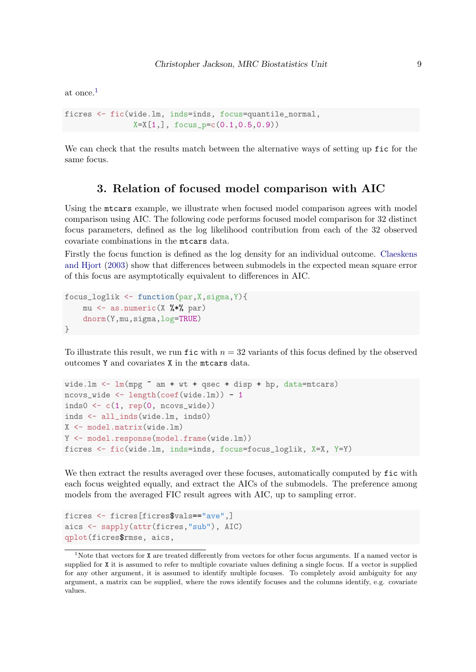at once.[1](#page-8-0)

```
ficres <- fic(wide.lm, inds=inds, focus=quantile_normal,
               X=X[1,], focus_p=c(0.1,0.5,0.9))
```
We can check that the results match between the alternative ways of setting up fic for the same focus.

## 3. Relation of focused model comparison with AIC

Using the mtcars example, we illustrate when focused model comparison agrees with model comparison using AIC. The following code performs focused model comparison for 32 distinct focus parameters, defined as the log likelihood contribution from each of the 32 observed covariate combinations in the mtcars data.

Firstly the focus function is defined as the log density for an individual outcome. [Claeskens](#page-9-2) [and Hjort](#page-9-2) [\(2003\)](#page-9-2) show that differences between submodels in the expected mean square error of this focus are asymptotically equivalent to differences in AIC.

```
focus_loglik <- function(par,X,sigma,Y){
    mu \leq as.numeric(X %*% par)
    dnorm(Y,mu,sigma,log=TRUE)
}
```
To illustrate this result, we run fic with  $n = 32$  variants of this focus defined by the observed outcomes Y and covariates X in the mtcars data.

```
wide.lm \leq lm(mpg \sim am + wt + qsec + disp + hp, data=mtcars)
ncovs_wide <- length(coef(wide.lm)) - 1
inds0\leftarrow c(1, rep(0, ncovs_wide))inds <- all_inds(wide.lm, inds0)
X <- model.matrix(wide.lm)
Y <- model.response(model.frame(wide.lm))
ficres <- fic(wide.lm, inds=inds, focus=focus_loglik, X=X, Y=Y)
```
We then extract the results averaged over these focuses, automatically computed by fic with each focus weighted equally, and extract the AICs of the submodels. The preference among models from the averaged FIC result agrees with AIC, up to sampling error.

```
ficres <- ficres[ficres$vals=="ave",]
aics <- sapply(attr(ficres,"sub"), AIC)
qplot(ficres$rmse, aics,
```
<span id="page-8-0"></span><sup>&</sup>lt;sup>1</sup>Note that vectors for **X** are treated differently from vectors for other focus arguments. If a named vector is supplied for X it is assumed to refer to multiple covariate values defining a single focus. If a vector is supplied for any other argument, it is assumed to identify multiple focuses. To completely avoid ambiguity for any argument, a matrix can be supplied, where the rows identify focuses and the columns identify, e.g. covariate values.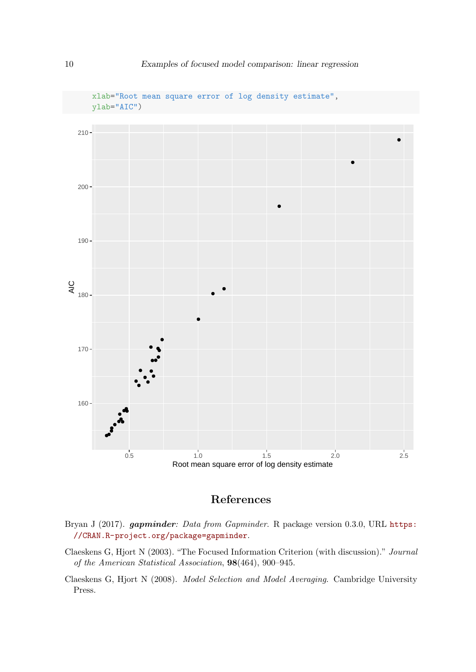

## References

- <span id="page-9-0"></span>Bryan J (2017). gapminder: Data from Gapminder. R package version 0.3.0, URL [https:](https://CRAN.R-project.org/package=gapminder) [//CRAN.R-project.org/package=gapminder](https://CRAN.R-project.org/package=gapminder).
- <span id="page-9-2"></span>Claeskens G, Hjort N (2003). "The Focused Information Criterion (with discussion)." Journal of the American Statistical Association, 98(464), 900–945.
- <span id="page-9-1"></span>Claeskens G, Hjort N (2008). Model Selection and Model Averaging. Cambridge University Press.